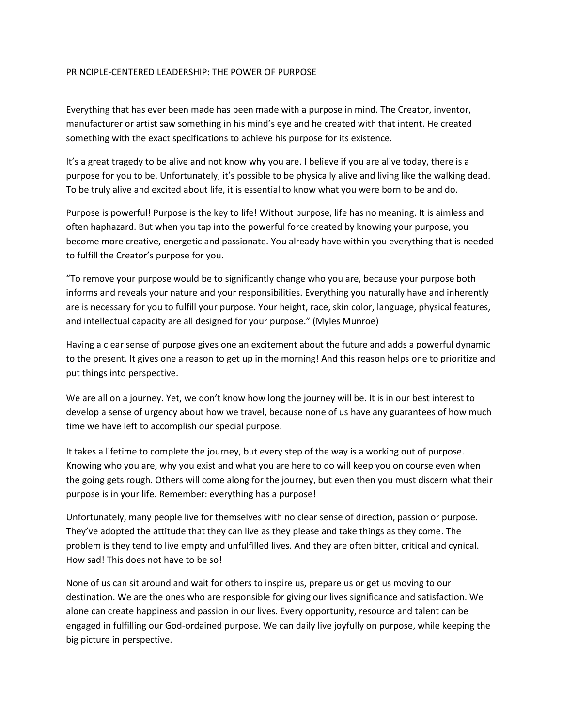## PRINCIPLE-CENTERED LEADERSHIP: THE POWER OF PURPOSE

Everything that has ever been made has been made with a purpose in mind. The Creator, inventor, manufacturer or artist saw something in his mind's eye and he created with that intent. He created something with the exact specifications to achieve his purpose for its existence.

It's a great tragedy to be alive and not know why you are. I believe if you are alive today, there is a purpose for you to be. Unfortunately, it's possible to be physically alive and living like the walking dead. To be truly alive and excited about life, it is essential to know what you were born to be and do.

Purpose is powerful! Purpose is the key to life! Without purpose, life has no meaning. It is aimless and often haphazard. But when you tap into the powerful force created by knowing your purpose, you become more creative, energetic and passionate. You already have within you everything that is needed to fulfill the Creator's purpose for you.

"To remove your purpose would be to significantly change who you are, because your purpose both informs and reveals your nature and your responsibilities. Everything you naturally have and inherently are is necessary for you to fulfill your purpose. Your height, race, skin color, language, physical features, and intellectual capacity are all designed for your purpose." (Myles Munroe)

Having a clear sense of purpose gives one an excitement about the future and adds a powerful dynamic to the present. It gives one a reason to get up in the morning! And this reason helps one to prioritize and put things into perspective.

We are all on a journey. Yet, we don't know how long the journey will be. It is in our best interest to develop a sense of urgency about how we travel, because none of us have any guarantees of how much time we have left to accomplish our special purpose.

It takes a lifetime to complete the journey, but every step of the way is a working out of purpose. Knowing who you are, why you exist and what you are here to do will keep you on course even when the going gets rough. Others will come along for the journey, but even then you must discern what their purpose is in your life. Remember: everything has a purpose!

Unfortunately, many people live for themselves with no clear sense of direction, passion or purpose. They've adopted the attitude that they can live as they please and take things as they come. The problem is they tend to live empty and unfulfilled lives. And they are often bitter, critical and cynical. How sad! This does not have to be so!

None of us can sit around and wait for others to inspire us, prepare us or get us moving to our destination. We are the ones who are responsible for giving our lives significance and satisfaction. We alone can create happiness and passion in our lives. Every opportunity, resource and talent can be engaged in fulfilling our God-ordained purpose. We can daily live joyfully on purpose, while keeping the big picture in perspective.